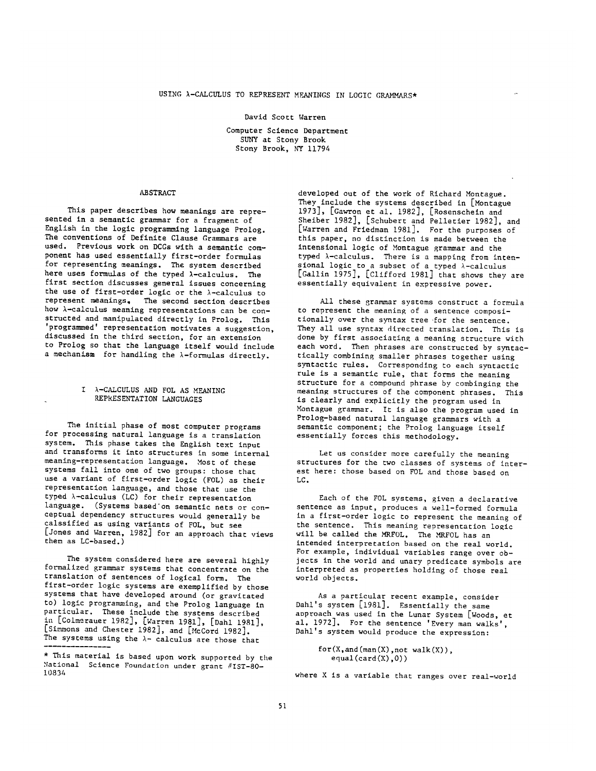# David Scott Warren

Computer Science Department SUNY at Stony Brook Stony Brook, NY 11794

### ABSTRACT

This paper descrlbes how meanings are represented in a semantic grammar for a fragment of English in the logic programming language Prolog. The conventions of Definite Clause Grammars are used. Previous work on DCGs with a semantic component has used essentially first-order formulas for representing meanings. The system described here uses formulas of the typed  $\lambda$ -calculus. The first section discusses general issues concerning the use of first-order logic or the  $\lambda$ -calculus to represent meanings, The second section describes how h-calculus meaning representations can be constructed and manipulated directly in Prolog. This 'programmed' representation motivates a suggestion, discussed in the third section, for an extension to Prolog so that the language itself would include a mechanism for handling the  $\lambda$ -formulas directly.

## I h-CALCULUS AND FOL AS MEANING REPRESENTATION LANGUAGES

The initial phase of most computer programs for processing natural language is a translation system. This phase takes the English text input and transforms it into structures in some internal meaning-representation language. Most of these systems fall into one of two groups: those that use a variant of first-order logic (FOL) as their representation language, and those that use the typed  $\lambda$ -calculus (LC) for their representation language. (Systems based'on semantic nets or conceptual dependency structures would generally be calsslfied as using variants of FOL, but see [Jones and Warren, 1982] for an approach that views them as LC-based.)

The system considered here are several highly formalized grammar systems that concentrate on the translation of sentences of logical form. The first-order logic systems are exemplified by those systems that have developed around (or gravitated to) logic programming, and the Prolog language in particular. These include the systems described in [Colmerauer 1982], [Warren 1981], [Dahl 1981], [Simmons and Chester 1982], and [McCord 1982]. The systems using the  $\lambda$ - calculus are those that

developed out of the work of Richard Montague. They include the systems described in [Montague 1973], [Gawron et al. 1982], [Rosenschein and Sheiber 1982], [Schubert and Pelletier 1982], and [Warren and Friedman 1981]. For the purposes of this paper, no distinction is made between the intensional logic of Montague grammar and the typed h-calculus. There is a mapping from intensional logic to a subset of a typed  $\lambda$ -calculus [Gallin 1975], [Clifford 1981] that shows they are essentially equivalent in expressive power.

All these grammar systems construct a formula to represent the meaning of a sentence compositionally over the syntax tree for the sentence. They all use syntax directed translation. This is done by first associating a meaning structure with each word. Then phrases are constructed by syntactically combining smaller phrases together using syntactic rules. Corresponding to each syntactic rule is a semantic rule, that forms the meaning structure for a compound phrase by combinging the meaning structures of the component phrases. This is clearly and explicitly the program used in Montague grammar. It is also the program used in Prolog-based natural language grammars with a semantic component; the Prolog language itself essentially forces this methodology.

Let us consider more carefully the meaning structures for the two classes of systems of interest here: those based on FOL and those based on LC.

Each of the FOL systems, given a declarative sentence as input, produces a well-formed formula in a first-order logic to represent the meaning of the sentence. This meaning representation logic will be called the MRFOL. The MRFOL has an intended interpretation based on the real world. For example, individual variables range over objects in the world and unary predicate symbols are interpreted as properties holding of those real world objects.

As a particular recent example, consider Dahl's system [1981]. Essentially the same approach was used in the Lunar System [Woods, et al. 1972]. For the sentence 'Every man walks', Dahl's system would produce the expression:

```
for(X,and(\text{man}(X),not walk(X)),
   equal(card(X),0))
```
where X is a variable that ranges over real-world

<sup>\*</sup> This material is based upon work supported by the National Science Foundation under grant #IST-80-10834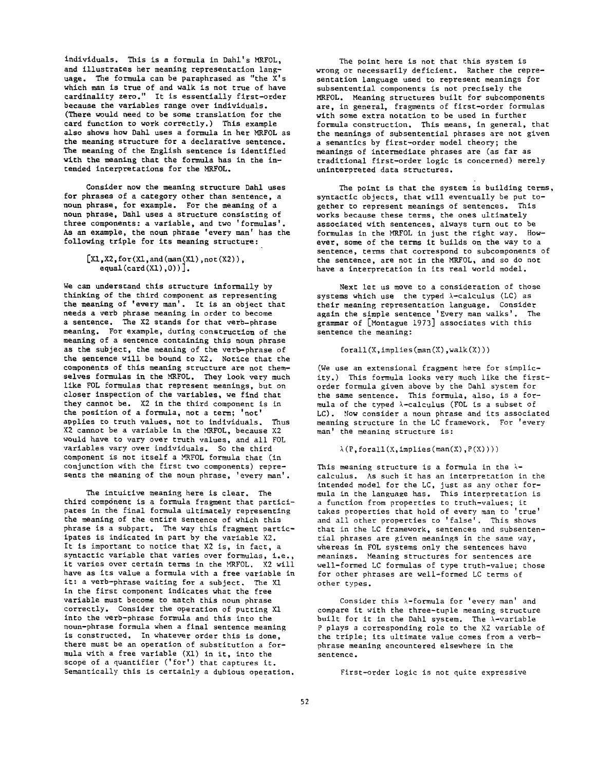individuals. This is a formula in Dahl's MRFOL, and illustrates her meaning representation language. The formula can be paraphrased as "the X's which man is true of and walk is not true of have ¢ardinality zero." It is essentially first-order because the variables range over individuals. (There would need to be some translation for the card function to work correctly.) This example also shows how Dahl uses a formula in her MRFOL as the meaning structure for a declarative sentence. The meaning of the English sentence is identified with the meaning that the formula has in the intended interpretations for the MRFOL.

Consider mow the meaning structure Dahl uses for phrases of a category other than sentence, a noun phrase, for example. For the meaning of a noun phrase, Dahl uses a structure consisting of three components: a variable, and two 'formulas'. As an example, the noun phrase 'every man' has the following triple for its meaning structure:

```
[X1, X2, for(X1, and(max(X1),not(X2)),equal(card(X1),0)).
```
We can understand this structure informally by thinking of the third component as representing the meaning of 'every man'. It is an object that needs a verb phrase meaning in order to become a sentence. The X2 stands for that verb-phrase meaning. For example, during construction of the meaning of a sentence containing this noun phrase as the subject, the meaning of the verb-phrase of the sentence will be bound to X2. Notice that the components of this meaning structure are not themselves formulas in the MRFOL. They look very much like FOL formulas that represent meanings, but on closer inspection of the variables, we find that they cannot be. X2 in the third component is in the position of a formula, not a term; 'not' applies to truth values, not to individuals. Thus  $X2$  cannot be a variable in the MRFOL, because  $X2$ would have to vary over truth values, and all FOL variables vary over individuals. So the third component is not itself a MRFOL formula that (in conjunction with the first two components) represents the meaning of the noun phrase, 'every man'.

The intuitive meaning here is clear. The third compdnent is a formula fragment that participates in the final formula ultimately representing the meaning of the entire sentence of which this phrase is a subpart. The way this fragment participates is indicated in part by the variable X2. It is important to notice that X2 is, in fact, a syntactic variable that varies over formulas, i,e., it varies over certain terms in the MRFOL. X2 will have as its value a formula with a free variable in it: a verb-phrase waiting for a subject. The X1 in the first component indicates what the free variable must become to match this noun phrase correctly. Consider the operation of putting XI into the verb-phrase formula and this into the noun-phrase formula when a final sentence meaning is constructed. In whatever order this is done, there must be an operation of substitution a formula with a free variable (XI) in it, into the scope of a quantifier ('for') that captures it. Semantically this is certainly a dubious operation.

The point here is not that this system is wrong or necessarily deficient. Rather the representation language used to represent meanings for subsentential components is not precisely the MRFOL. Meaning structures built for subcomponents are, in general, fragments of first-order formulas with some extra notation to be used in further formula construction. This means, in general, that the meanings of subsentential phrases are not given a semantles by first-order model theory; the meanings of intermediate phrases are (as far as traditional first-order logic is concerned) merely uninterpreted data structures.

The point is that the system is building terms, syntactic objects, that will eventually be put together to represent meanings of sentences. This works because these terms, the ones ultimately associated with sentences, always turn out to be formulas in the MRFOL in just the right way. However, some of the terms it builds on the way to a sentence, terms that correspond to subcomponents of the sentence, are not in the MRFOL, and so do not have a interpretation in its real world model.

Next let us move to a consideration of those systems which use the typed  $\lambda$ -calculus (LC) as their meaning representation language. Consider again the simple sentence 'Every man walks'. The grammar of [Montague 1973] associates with this sentence the meaning:

 $forall(X, implies(max(X),walk(X)))$ 

(We use an extensional fragment here for simplicity.) This formula looks very much like the firstorder formula given above by the Dahl system for the same sentence. This formula, also, is a formula of the typed  $\lambda$ -calculus (FOL is a subset of LC). Now consider a noun phrase and its associated meaning structure in the LC framework. For 'every man' the meaning structure is:

## $\lambda(P, \text{forall}(X, \text{implies}(\text{man}(X), P(X))))$

This meaning structure is a formula in the  $\lambda$ calculus. As such it has an interpretation in the intended model for the LC, just as any other formula in the language has. This interpretation is a function from properties to truth-values; it takes properties that hold of every man to 'true' and all other properties to 'false'. This shows that in the LC framework, sentences and subsentential phrases are given meanings in the same way, whereas in FOL systems only the sentences have meanings. Meaning structures for sentences are well-formed LC formulas of type truth-value; those for other phrases are well-formed LC terms of other types.

Consider this  $\lambda$ -formula for 'every man' and compare it with the three-tuple meaning structure built for it in the Dahl system. The  $\lambda$ -variable P plays a corresponding role to the X2 variable of the triple; its ultimate value comes from a verbphrase meaning encountered elsewhere in the sentence.

First-order logic is not quite expressive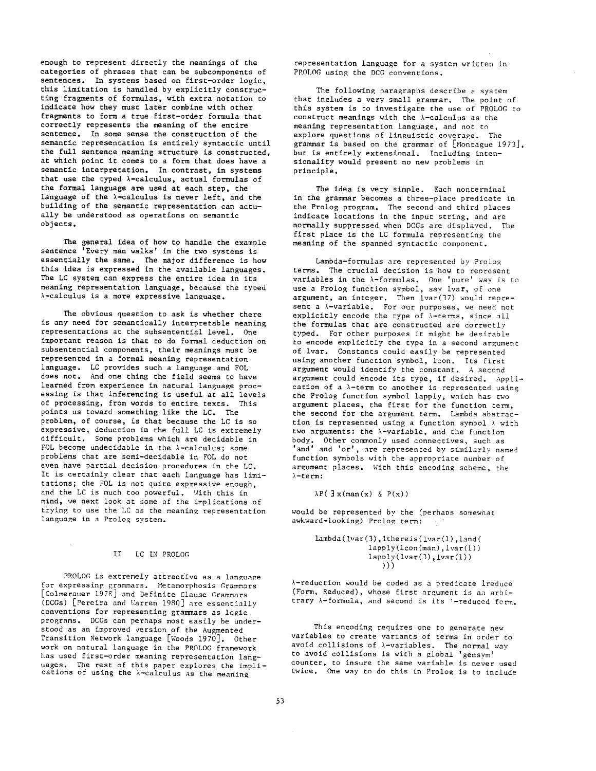enough to represent directly the meanings of the categories of phrases that can be subcomponents of sentences. In systems based on first-order logic, this limitation is handled by explicitly constructing fragments of formulas, with extra notation to indicate how they must later combine with other fragments to form a true first-order formula that correctly represents the meaning of the entire sentence. In some sense the construction of the semantic representation is entirely syntactic until the full sentence meaning structure is constructed, at which point it comes to a form that does have a semantic interpretation. In contrast, in systems that use the typed  $\lambda$ -calculus, actual formulas of the formal language are used at each step, the language of the  $\lambda$ -calculus is never left, and the building of the semantic representation can actually be understood as operations on semantic objects.

The general idea of how to handle the example sentence 'Every man walks' in the two systems is essentially the same. The major difference is how this idea is expressed in the available languages. The LC system can express the entire idea in its meaning representation language, because the typed  $\lambda$ -calculus is a more expressive language.

The obvious question to ask is whether there is any need for semantically interpretable meaning representations at the subsentential level. One important reason is that to do formal deduction on subsentential components, their meanings must be represented in a formal meaning representation language. LC provides such a language and FOL does not. And one thing the field seems to have learned from experience in natural language processing is that inferencing is useful at all levels of processing, from words to entire texts. This points us toward something like the LC. The problem, of course, is that because the LC is so expressive, deduction in the full LC is extremely difficult. Some problems which are decidable in FOL become undecidable in the  $\lambda$ -calculus; some problems that are semi-decidable in FOL do not even have partial decision procedures in the LC. It is certainly clear that each language has limitations; the FOL is not quite expressive enough, and the LC is much too powerful. With this in mind, we next look at some of the implications of trying to use the LC as the meaning representation language in a Prolog system.

#### II LC IN PROLOG

PROLOG is extremely attractive as a language for expressing grammars. Metamorphosis Grammars [Colmerauer 197g] and Definite Clause Grammars (DCGs) [Pereira and Warren 1980] are essentially conventions for representing grammars as logic programs. DCGs can perhaps most easily be understood as an improved version of the Augmented Transition Network language [Woods 1970]. Other work on natural language in the PROLOG framework has used first-order meaning representation languages. The rest of this paper explores the implications of using the  $\lambda$ -calculus as the meaning

representation language for a system written in PROLOG using the DCG conventions.

The following paragraphs describe a system that includes a very small grammar. The point of this system is to investigate the use of PROLOG to construct meanings with the  $\lambda$ -calculus as the meaning representation language, and not to explore questions of linguistic coverage. The grammar is based on the grammar of [Montague 1973], but is entirely extensional. Including intensionality would present no new problems in principle.

The idea is very simple. Each nonterminal in the grammar becomes a three-place predicate in the Prolog program. The second and third places indicate locations in the input string, and are normally suppressed when DCGs are displayed. The first place is the LC formula representing the meaning of the spanned syntactic component.

Lambda-formulas are represented by Prolog terms. The crucial decision is how to represent variables in the  $\lambda$ -formulas. One 'pure' way is to use a Prolog function symbol, say ivar, of one argument, an integer. Then Ivar(37) would represent a  $\lambda$ -variable. For our purposes, we need not explicitly encode the type of  $\lambda$ -terms, since all the formulas that are constructed are correctly typed. For other purposes it might be desirable to encode explicitly the type in a second argument of ivar. Constants could easily be represented using another function symbol, icon. Its first argument would identify the constant. A second argument could encode its type, if desired. Application of a  $\lambda$ -term to another is represented using the Prolog function symbol lapply, which has two argument places, the first for the function term, the second for the argument term. Lambda abstraction is represented using a function symbol  $\lambda$  with two arguments: the  $\lambda$ -variable, and the function body. Other commonly used connectives, such as 'and' and 'or', are represented by similarly named function symbols with the appropriate number of argument places. With this encoding scheme, the  $\lambda$ -term:

 $\lambda P(\exists x(\text{man}(x) \& P(x))$ 

would be represented by the (perhaps somewhat awkward-looking) Prolog term:  $\sim 10^{-1}$ 

```
lambda(Ivar(3),Ithereis(ivar(1),land( 
            lapply(lcon(man), lvar(1))
            lapply(lvar(3),lvar(1))
               )))
```
 $\lambda$ -reduction would be coded as a predicate lreduce (Form, Reduced), whose first argument is an arbitrary  $\lambda$ -formula, and second is its  $\lambda$ -reduced form.

This encoding requires one to generate new variables to create variants of terms in order to avoid collisions of  $\lambda$ -variables. The normal way to avoid collisions is with a global 'gensym' counter, to insure the same variable is never used twice. One way to do this in Prolog is to include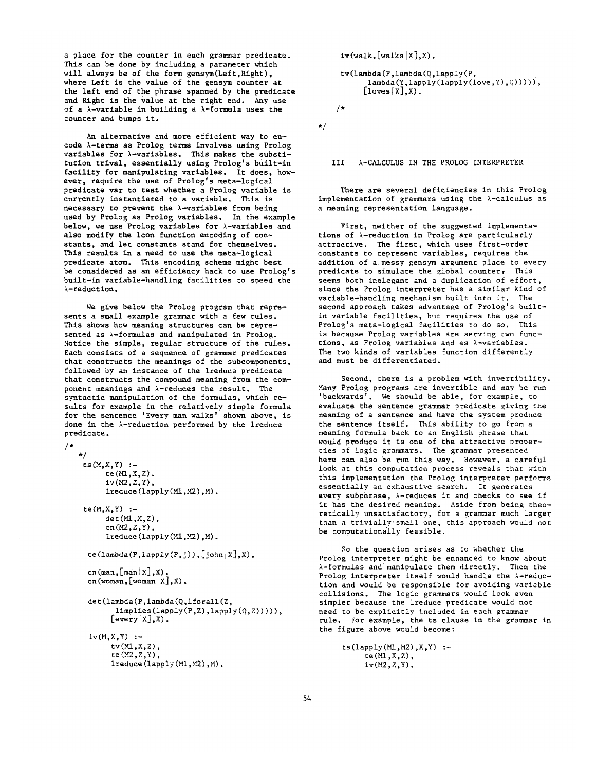a place for the counter in each grammar predicate. This can be done by including a parameter which will always be of the form gensym(Left,Right), where Left is the value of the gensym counter at the left end of the phrase spanned by the predicate and Right is the value at the right end. Any use of a  $\lambda$ -variable in building a  $\lambda$ -formula uses the counter and bumps it.

An alternative and more efficient way to encode  $\lambda$ -terms as Prolog terms involves using Prolog variables for  $\lambda$ -variables. This makes the substitution trival, essentially using Prolog's built-ln facility for manipulating variables. It does, however, require the use of Prolog's meta-logical predicate var to test whether a Prolog variable is currently instantiated to a variable. This is necessary to prevent the  $\lambda$ -variables from being used by Prolog as Prolog variables, In the example below, we use Prolog variables for  $\lambda$ -variables and also modify the Icon function encoding of constants, and let constants stand for themselves. This results in a need to use the meta-logical predicate atom. This encoding scheme might best be considered as an efficiency hack to use Prolog's built-in variable-handllng facilities to speed the  $\lambda$ -reduction.

We give below the Prolog program that represents a small example grammar with a few rules. This shows how meaning structures can be represented as  $\lambda$ -formulas and manipulated in Prolog. Notice the simple, regular structure of the rules. Each consists of a sequence of grammar predicates that constructs the meanings of the subcomponents, followed by an instance of the ireduce predicate that constructs the compound meaning from the component meanings and  $\lambda$ -reduces the result. The syntactic manipulation of the formulas, which results for example in the relatively simple formula for the sentence 'Every man walks' shown above, is done in the  $\lambda$ -reduction performed by the  $1$ reduce predicate.

```
/* 
   */ 
    ts(M,X,Y) :-
          te(Ml,X,Z). 
          iv(M2,Z,Y), 
          ireduce(lapply(Mi,M2),M). 
    te(M, X, Y) :-
          det(M, X, Z),
          cn(M2,Z,Y),
          lreduce(lapply(M1,M2),M).
     te(lambda(P, Lapply(P, j)), [john|X], X).
     cn(man, [\text{main} | X], X).
     cn(woman, [woman | X], X).
     det(lambda(P,lambda(Q,iforall(Z, 
            limplies(lapply(P,Z),lapply(Q,Z))))), 
           [every(X],X).
     iv(M,X,Y) :-
           tv(MI,X,Z),
```

```
te(M2,Z,Y), 
ireduce(lapply(Mi,M2),M).
```
 $iv(walk,[walks|X],X)$ .

```
tv(lambda(P,lambda(Q,lapply(P, 
       lambda(Y, \text{lapply}(\text{lapy}(\text{love}, Y), Q)))),
      [1oves[X], X.
```
/\*

\*/

III  $\lambda$ -CALCULUS IN THE PROLOG INTERPRETER

There are several deficiencies in this Prolog implementation of grammars using the  $\lambda$ -calculus as a meaning representation language.

First, neither of the suggested implementations of  $\lambda$ -reduction in Prolog are particularly attractive. The first, which uses first-order constants to represent variables, requires the addition of a messy gensym argument place to every predicate to simulate the global counter, This seems both inelegant and a duplication of effort, since the Prolog interpreter has a similar kind of variable-handling mechanism built into it. The second approach takes advantage of Prolog's builtin variable facilities, but requires the use of Prolog's meta-logical facilities to do so. This is because Prolog variables are serving two functions, as Prolog varlabies and as h-variables. The two kinds of variables function differently and must be differentiated.

Second, there is a problem with invertibility. Many Prolog programs are invertible and may be run 'backwards'. We should be able, for example, to evaluate the sentence grammar predicate giving the meaning of a sentence and have the system produce the sentence itself. This ability to go from a meaning formula back to an English phrase that would produce it is one of the attractive properties of logic grammars. The grammar presented here can also be run this way. However, a careful look at this computation process reveals that with this implementation the Prolog interpreter performs essentially an exhaustive search. It generates every subphrase,  $\lambda$ -reduces it and checks to see if it has the desired meaning. Aside from being theoretically unsatisfactory, for a grammar much larger than a trivially-small one, this approach would not be computationally feasible.

So the question arises as to whether the Prolog interpreter might be enhanced to know about  $\lambda$ -formulas and manipulate them directly. Then the Prolog interpreter itself would handle the  $\lambda$ -reduction and would be responsible for avoiding variable collisions. The logic grammars would look even simpler because the ireduce predicate would not need to be explicitly included in each grammar rule. For example, the ts clause in the grammar in the figure above would become:

```
ts(lapply(M1,M2),X,Y) :-
     te(MI,X,Z), 
     iv(M2,Z,Y).
```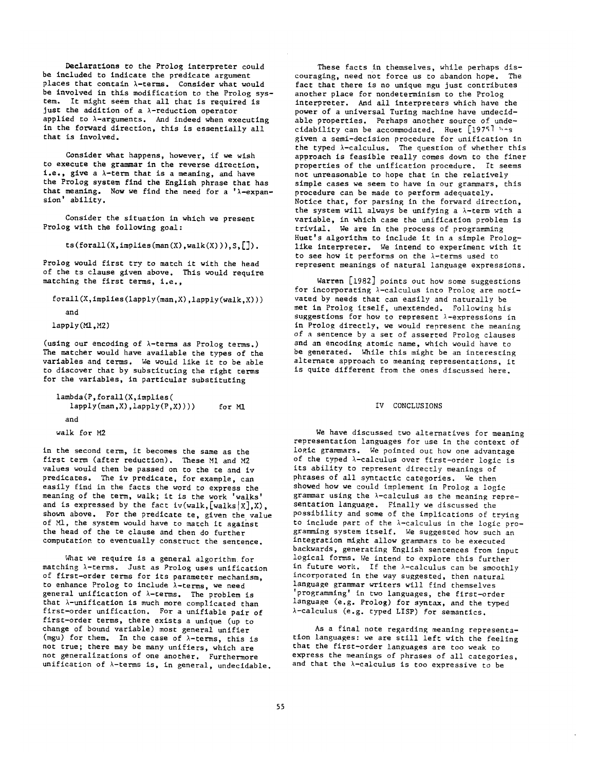Declarations to the Prolog interpreter could be included to indicate the predicate argument places that contain  $\lambda$ -terms. Consider what would be involved in this modification to the Prolog system. It might seem that all that is required is just the addition of a  $\lambda$ -reduction operator applied to  $\lambda$ -arguments. And indeed when executing in the forward direction, this is essentially all that is involved.

Consider what happens, however, if we wish to execute the grammar in the reverse direction, i.e., give a  $\lambda$ -term that is a meaning, and have the Prolog system find the English phrase that has that meaning. Now we find the need for a ' $\lambda$ -expansion' ability.

Consider the situation in which we present Prolog with the following goal:

 $ts(for all(X, implies(max(X),walk(X))), S, []).$ 

Prolog would first try to match it with the head of the ts clause given above. This would require matching the first terms, i.e.,

forall(X,implies(lapply(man,X),lapply(walk,X)))

```
and
```

```
lapply(Mi,M2)
```
(using our encoding of  $\lambda$ -terms as Prolog terms.) The matcher would have available the types of the variables and terms. We would like it to be able to discover that by substituting the right terms for the variables, in particular substituting

```
lambda(P,forall(X,implies( 
   lapply(man,X),lapply(P,X))))
  and 
walk for M2 
                                      for M1
```
in the second term, it becomes the same as the first term (after reduction). These MI and M2 values would then be passed on to the te and iv predicates. The iv predicate, for example, can easily find in the facts the word to express the meaning of the term, walk; it is the work 'walks' and is expressed by the fact iv(walk, [walks $|X|$ , X), shown above. For the predicate te, given the value of MI, the system would have to match it against the head of the te clause and then do further computation to eventually construct the sentence.

What we require is a general algorithm for matching l-terms. Just as Prolog uses unification of first-order terms for its parameter mechanism, to enhance Prolog to include  $\lambda$ -terms, we need general unification of  $\lambda$ -terms. The problem is that  $\lambda$ -unification is much more complicated than first-order unification. For a unifiable pair of first-order terms, there exists a unique (up to change of bound variable) most general unifier (mgu) for them. In the case of  $\lambda$ -terms, this is not true; there may be many unifiers, which are not generalizations of one another. Furthermore unification of  $\lambda$ -terms is, in general, undecidable.

These facts in themselves, while perhaps discouraging, need not force us to abandon hope. The fact that there is no unique mgu just contributes another place for nondeterminism to the Prolog interpreter. And all interpreters which have the power of a universal Turing machine have undecidable properties. Perhaps another source of undecidability can be accommodated. Huet  $[1975]$  has given a semi-decision procedure for unification in the typed  $\lambda$ -calculus. The question of whether this approach is feasible really comes down to the finer properties of the unification procedure. It seems not unreasonable to hope that in the relatively simple cases we seem to have in our grammars, this procedure can be made to perform adequately. Notice that, for parsing in the forward direction, the system will always be unifying a  $\lambda$ -term with a variable, in which case the unification problem is trivial. We are in the process of programming Huet's algorithm to include it in a simple Prologlike interpreter. We intend to experiment with it to see how it performs on the  $\lambda$ -terms used to represent meanings of natural language expressions.

Warren [1982] points out how some suggestions for incorporating  $\lambda$ -calculus into Prolog are motivated by needs that can easily and naturally be met in Prolog itself, unextended. Following his suggestions for how to represent  $\lambda$ -expressions in in Prolog directly, we would represent the meaning of a sentence by a set of asserted Prolog clauses and an encoding atomic name, which would have to be generated. While this might be an interesting alternate approach to meaning representations, it is quite different from the ones discussed here.

### IV CONCLUSIONS

We have discussed two alternatives for meaning representation languages for use in the context of logic grammars. We pointed out how one advantage of the typed  $\lambda$ -calculus over first-order logic is its ability to represent directly meanings of phrases of all syntactic categories. We then showed how we could implement in Prolog a logic grammar using the  $\lambda$ -calculus as the meaning representation language. Finally we discussed the possibility and some of the implications of trying to include part of the *k*-calculus in the logic programming system itself. We suggested how such an integration might allow grammars to be executed backwards, generating English sentences from input logical forms. We intend to explore this further in future work. If the  $\lambda$ -calculus can be smoothly incorporated in the way suggested, then natural language grammar writers will find themselves 'programming' in two languages, the first-order language (e.g. Prolog) for syntax, and the typed l-calculus (e.g. typed LISP) for semantics.

As a final note regarding meaning representation languages: we are still left with the feeling that the first-order languages are too weak to express the meanings of phrases of all categories, and that the  $\lambda$ -calculus is too expressive to be